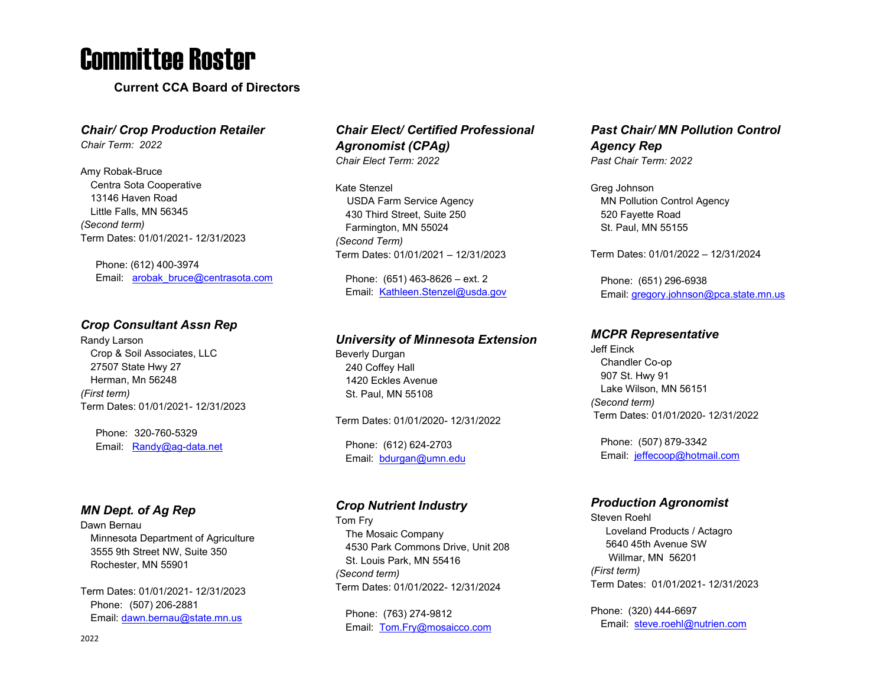## Committee Roster

**Current CCA Board of Directors**

### *Chair/ Crop Production Retailer*

*Chair Term: 2022*

Amy Robak-Bruce Centra Sota Cooperative 13146 Haven Road Little Falls, MN 56345 *(Second term)* Term Dates: 01/01/2021- 12/31/2023

Phone: (612) 400-3974 Email: arobak bruce@centrasota.com

### *Crop Consultant Assn Rep*

Randy Larson Crop & Soil Associates, LLC 27507 State Hwy 27 Herman, Mn 56248 *(First term)* Term Dates: 01/01/2021- 12/31/2023

Phone: 320-760-5329 Email: [Randy@ag-data.net](mailto:Randy@ag-data.net)

### *MN Dept. of Ag Rep*

Dawn Bernau Minnesota Department of Agriculture 3555 9th Street NW, Suite 350 Rochester, MN 55901

Term Dates: 01/01/2021- 12/31/2023 Phone: (507) 206-2881 Email: [dawn.bernau@state.mn.us](mailto:dawn.bernau@state.mn.us)

### *Chair Elect/ Certified Professional Agronomist (CPAg) Chair Elect Term: 2022*

Kate Stenzel USDA Farm Service Agency 430 Third Street, Suite 250 Farmington, MN 55024 *(Second Term)* Term Dates: 01/01/2021 – 12/31/2023

Phone: (651) 463-8626 – ext. 2 Email: [Kathleen.Stenzel@usda.gov](mailto:Kathleen.Stenzel@usda.gov)

### *University of Minnesota Extension*

Beverly Durgan 240 Coffey Hall 1420 Eckles Avenue St. Paul, MN 55108

Term Dates: 01/01/2020- 12/31/2022

Phone: (612) 624-2703 Email: [bdurgan@umn.edu](mailto:bdurgan@umn.edu)

### *Crop Nutrient Industry*

Tom Fry The Mosaic Company 4530 Park Commons Drive, Unit 208 St. Louis Park, MN 55416 *(Second term)* Term Dates: 01/01/2022- 12/31/2024

Phone: (763) 274-9812 Email: [Tom.Fry@mosaicco.com](mailto:Tom.Fry@mosaicco.com)

### *Past Chair/ MN Pollution Control Agency Rep Past Chair Term: 2022*

Greg Johnson MN Pollution Control Agency 520 Fayette Road St. Paul, MN 55155

Term Dates: 01/01/2022 – 12/31/2024

Phone: (651) 296-6938 Email[: gregory.johnson@pca.state.mn.us](mailto:gregory.johnson@pca.state.mn.us)

### *MCPR Representative*

Jeff Einck Chandler Co-op 907 St. Hwy 91 Lake Wilson, MN 56151 *(Second term)* Term Dates: 01/01/2020- 12/31/2022

Phone: (507) 879-3342 Email: jeffecoop@hotmail.com

### *Production Agronomist*

Steven Roehl Loveland Products / Actagro 5640 45th Avenue SW Willmar, MN 56201 *(First term)* Term Dates: 01/01/2021- 12/31/2023

Phone: (320) 444-6697 Email: [steve.roehl@nutrien.com](mailto:steve.roehl@nutrien.com)